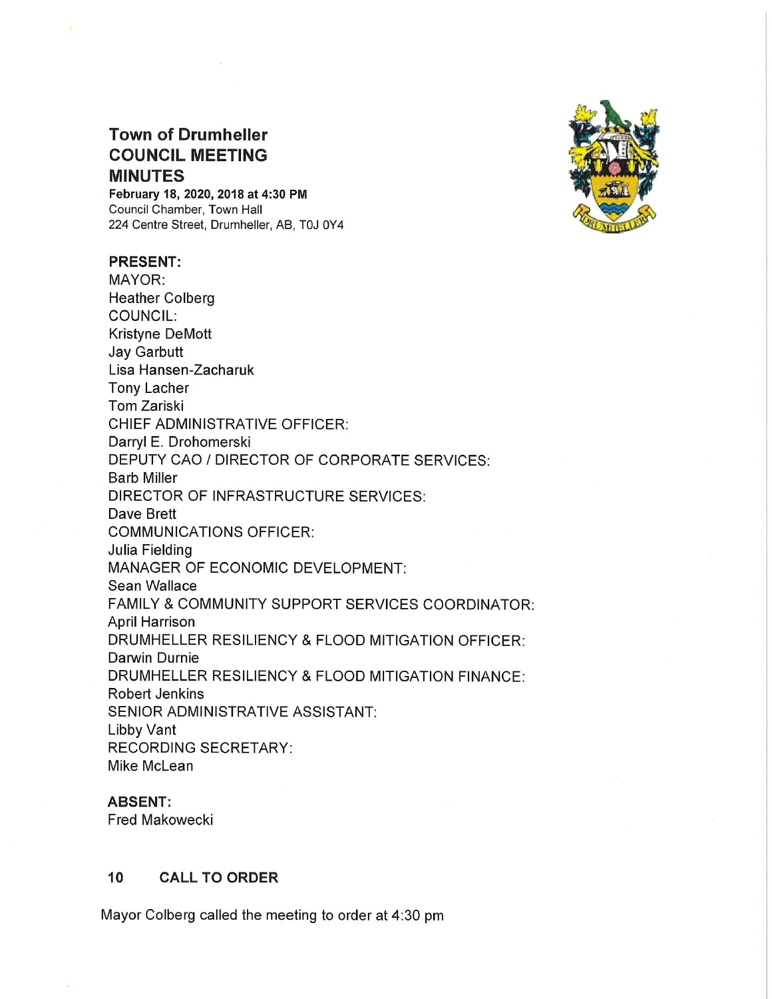

# Town of Drumheller COUNCIL MEETING MINUTES

February 18, 2020, 2018 at 4:30 PM Council Chamber, Town Hall 224 Centre Street, Drumheller, AB, TOJ OY4

#### PRESENT:

MAYOR: Heather Colberg COUNCIL: Kristyne DeMott Jay Garbutt Lisa Hansen-Zacharuk Tony Lacher Tom Zariski CHIEF ADMINISTRATIVE OFFICER: Darryl E. Drohomerski DEPUTY CAO / DIRECTOR OF CORPORATE SERVICES: Barb Miller DIRECTOR OF INFRASTRUCTURE SERVICES: Dave Brett COMMUNICATIONS OFFICER: Julia Fielding MANAGER OF ECONOMIC DEVELOPMENT: Sean Wallace FAMILY& COMMUNITY SUPPORT SERVICES COORDINATOR: April Harrison DRUMHELLER RESILIENCY & FLOOD MITIGATION OFFICER: Darwin Durnie DRUMHELLER RESILIENCY & FLOOD MITIGATION FINANCE: Robert Jenkins SENIOR ADMINISTRATIVE ASSISTANT: Libby Vant RECORDING SECRETARY: Mike McLean

# ABSENT:

Fred Makowecki

#### 10 CALL TO ORDER

Mayor Colberg called the meeting to order at 4:30 pm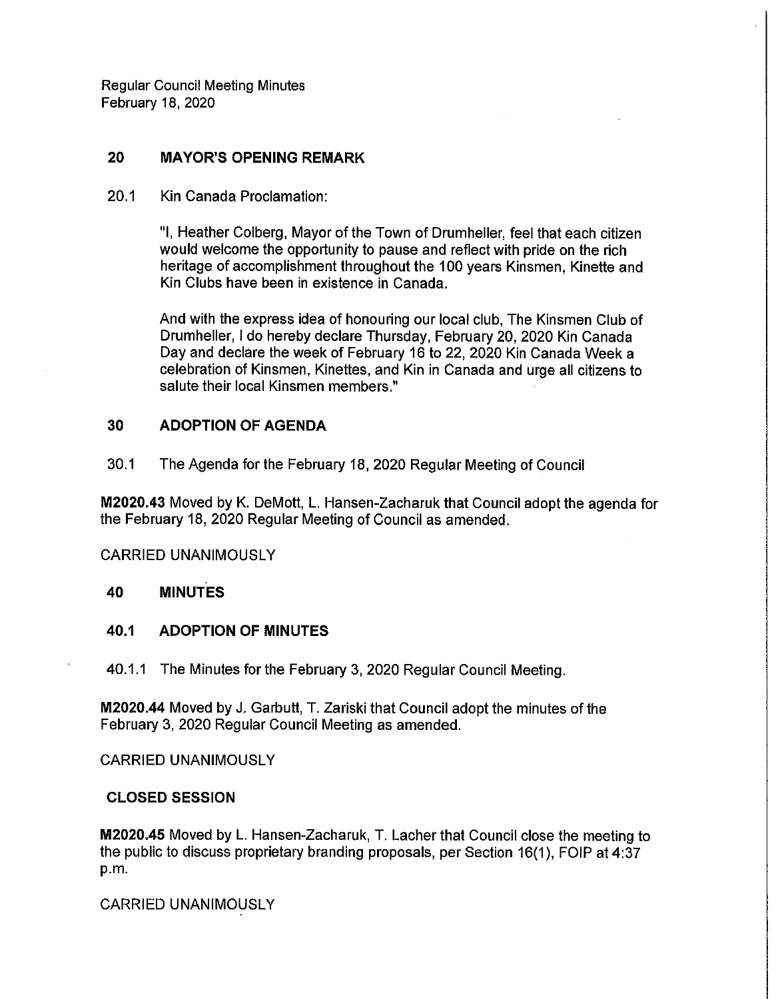# 20 MAYOR'S OPENING REMARK

20.1 KinCanada Proclamation:

"|, Heather Colberg, Mayor of the Town of Drumheller, feel that each citizen would welcome the opportunity to pause and reflect with pride on the rich heritage of accomplishment throughout the 100 years Kinsmen, Kinette and KinClubs have been in existence in Canada.

And with the express idea of honouring our local club, The Kinsmen Club of Drumheller, I do hereby declare Thursday, February 20, 2020 KinCanada Day and declare the week of February 16 to 22, 2020 KinCanada Week a celebration of Kinsmen, Kinettes, and Kin in Canada and urge all citizens to salute their local Kinsmen members."

# 30 ADOPTION OF AGENDA

30.1 The Agenda for the February 18, 2020 Regular Meeting of Council

M2020.43 Moved by K. DeMott, L. Hansen-Zacharuk that Council adopt the agenda for the February 18, 2020 Regular Meeting of Council as amended.

CARRIED UNANIMOUSLY

#### 40 MINUTES

# 40.1 ADOPTION OF MINUTES

40.1.1 The Minutes for the February 3, 2020 Regular Council Meeting.

M2020.44 Moved by J. Garbutt, T. Zariski that Council adopt the minutes of the February 3, 2020 Regular Council Meeting as amended.

CARRIED UNANIMOUSLY

#### CLOSED SESSION

M2020.45 Moved by L. Hansen-Zacharuk, T. Lacher that Council close the meeting to the public to discuss proprietary branding proposals, per Section 16(1), FOIP at 4:37 p.m.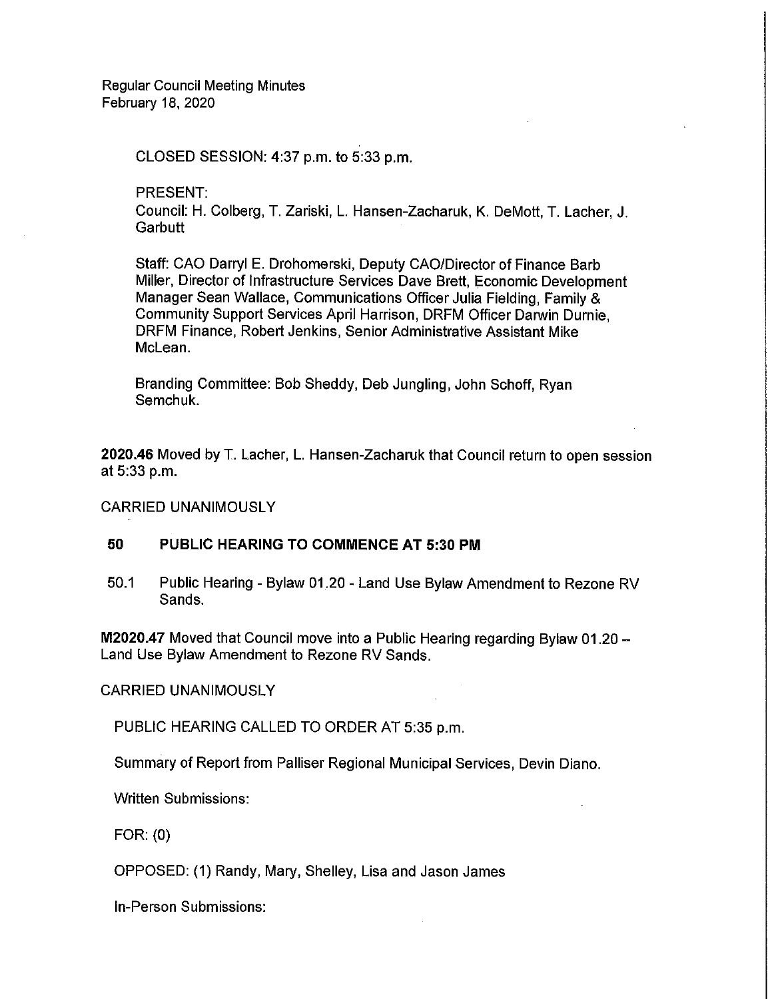CLOSED SESSION: 4:37 p.m. to 5:33 p.m.

PRESENT: Council: H. Colberg, T. Zariski, L. Hansen—Zacharuk,K. DeMott, T. Lacher, J. **Garbutt** 

Staff: CAO Darryl E. Drohomerski, Deputy CAO/Director of Finance Barb Miller, Director of Infrastructure Services Dave Brett, Economic Development Manager Sean Wallace, Communications Officer Julia Fielding, Family & Community Support Services April Harrison, DRFM Officer Darwin Durnie, DRFM Finance, Robert Jenkins, Senior Administrative Assistant Mike McLean.

Branding Committee: Bob Sheddy, Deb Jungling, John Schoff, Ryan Semchuk.

2020.46 Moved by T. Lacher, L. Hansen-Zacharuk that Council return to open session at 5:33 p.m.

CARRIED UNANIMOUSLY

#### 50 PUBLIC HEARING TO COMMENCE AT 5:30 PM

50.1 Public Hearing - Bylaw 01.20 - Land Use Bylaw Amendment to Rezone RV Sands.

M2020.47 Moved that Council move into a Public Hearing regarding Bylaw 01.20 — Land Use Bylaw Amendment to Rezone RV Sands.

CARRIED UNANIMOUSLY

PUBLIC HEARING CALLED TO ORDER AT 5:35 p.m.

Summary of Report from Palliser Regional Municipal Services, Devin Diano.

Written Submissions:

FOR: (0)

OPPOSED: (1) Randy, Mary, Shelley, Lisa and Jason James

In-Person Submissions: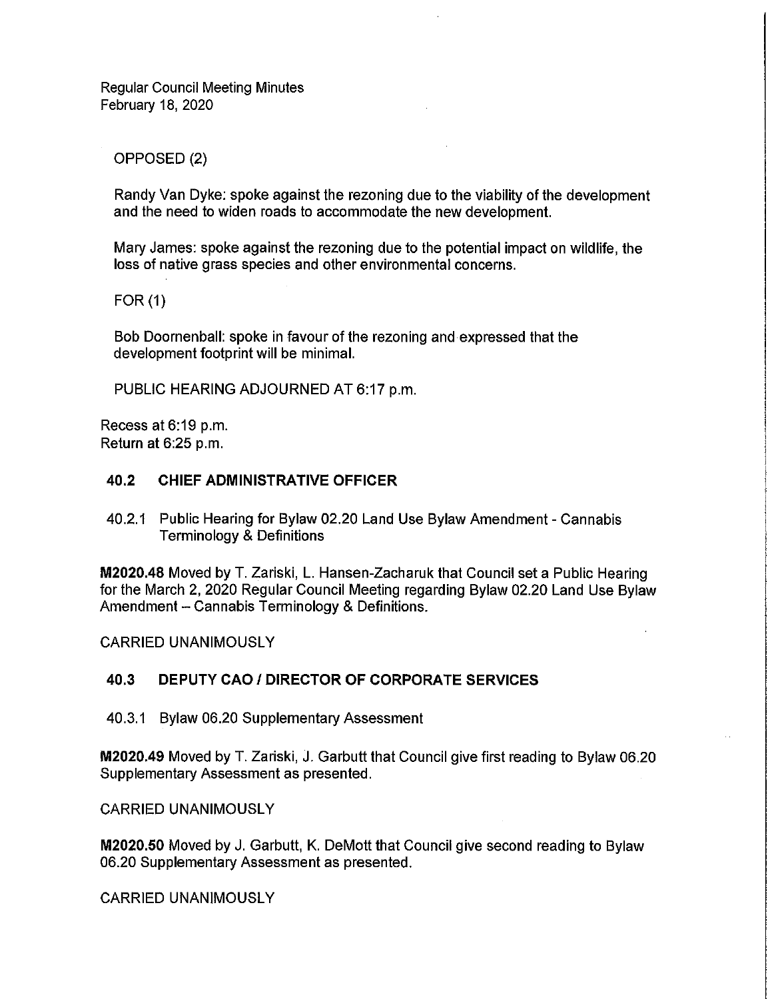OPPOSED (2)

Randy Van Dyke: spoke against the rezoning due to the viability of the development and the need to widen roads to accommodate the new development.

Mary James: spoke against the rezoning due to the potential impact on wildlife, the loss of native grass species and other environmental concerns.

FOR (1)

Bob Doornenball: spoke in favour of the rezoning and expressed that the development footprint will be minimal.

PUBLIC HEARING ADJOURNED AT 6:17 p.m.

Recess at 6:19 p.m. Return at 6:25 p.m.

# 40.2 CHIEF ADMINISTRATIVE OFFICER

40.2.1 Public Hearing for Bylaw 02.20 Land Use Bylaw Amendment - Cannabis Terminology & Definitions

M2020.48 Moved by T. Zariski, L. Hansen-Zacharuk that Council set a Public Hearing for the March 2, 2020 Regular Council Meeting regarding Bylaw 02.20 Land Use Bylaw Amendment - Cannabis Terminology & Definitions.

CARRIED UNANIMOUSLY

# 40.3 DEPUTY CAO I DIRECTOR OF CORPORATE SERVICES

40.3.1 Bylaw 06.20 Supplementary Assessment

M2020.49 Moved by T. Zariski, J. Garbutt that Council give first reading to Bylaw 06.20 Supplementary Assessment as presented.

CARRIED UNANIMOUSLY

M2020.50 Moved by J. Garbutt, K. DeMott that Council give second reading to Bylaw 06.20 Supplementary Assessment as presented.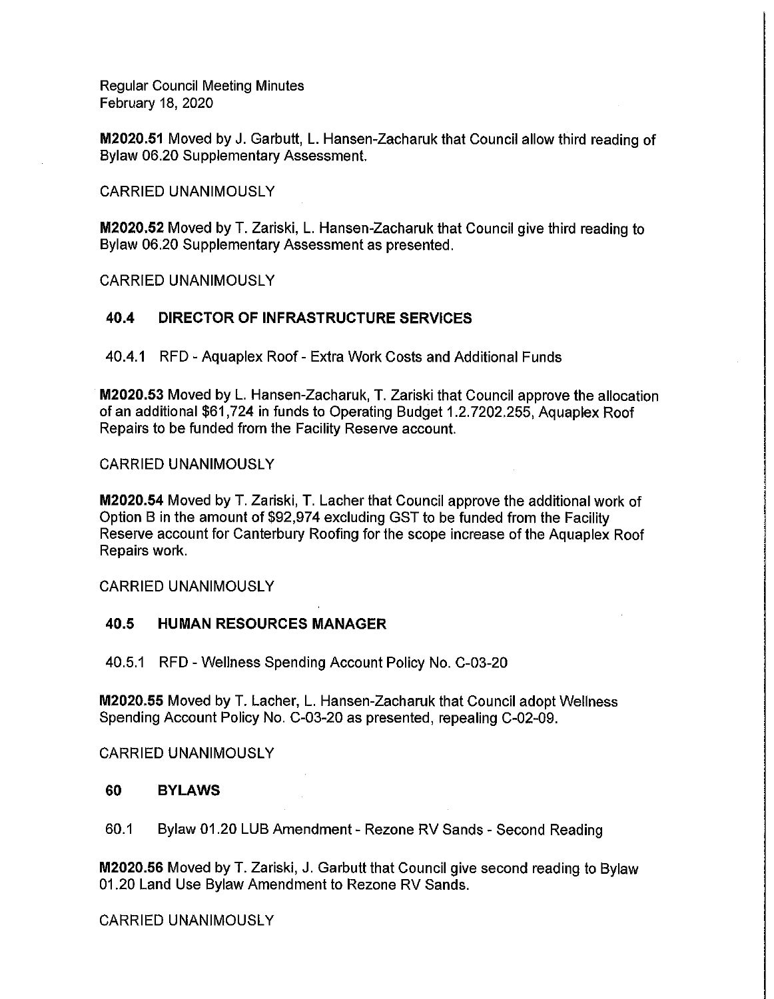M2020.51 Moved by J. Garbutt, L. Hansen-Zacharuk that Council allow third reading of Bylaw 06.20 Supplementary Assessment.

CARRIED UNANIMOUSLY

M2020.52 Moved by T. Zariski, L. Hansen-Zacharuk that Council give third reading to Bylaw 06.20 Supplementary Assessment as presented.

CARRIED UNANIMOUSLY

# 40.4 DIRECTOR OF INFRASTRUCTURE SERVICES

40.4.1 RFD — Aquaplex Roof - Extra Work Costs and Additional Funds

M2020.53 Moved by L. Hansen-Zacharuk, T. Zariski that Council approve the allocation of an additional \$61,724 in funds to Operating Budget 1.2.7202.255, Aquaplex Roof Repairs to be funded from the Facility Reserve account.

CARRIED UNANIMOUSLY

M2020.54 Moved by T. Zariski, T. Lacher that Council approve the additional work of Option B in the amount of \$92,974 excluding GST to be funded from the Facility Reserve account for Canterbury Roofing for the scope increase of the Aquaplex Roof Repairs work.

#### CARRIED UNANIMOUSLY

#### 40.5 HUMAN RESOURCES MANAGER

40.5.1 RFD - Wellness Spending Account Policy No. C-03-20

M2020.55 Moved by T. Lacher, L. Hansen-Zacharuk that Council adopt Wellness Spending Account Policy No. C-03-20 as presented, repealing C—02—09.

CARRIED UNANIMOUSLY

#### 60 BYLAWS

60.1 Bylaw 01.20 LUBAmendment - Rezone RV Sands - Second Reading

M2020.56 Moved by T. Zariski, J. Garbutt that Council give second reading to Bylaw 01.20 Land Use Bylaw Amendment to Rezone RV Sands.